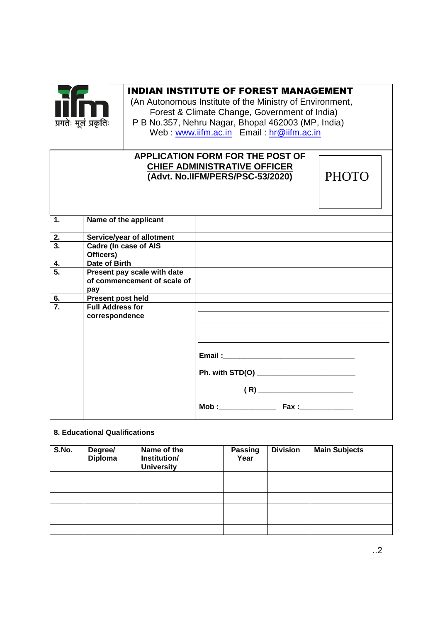

# INDIAN INSTITUTE OF FOREST MANAGEMENT

(An Autonomous Institute of the Ministry of Environment, Forest & Climate Change, Government of India) P B No.357, Nehru Nagar, Bhopal 462003 (MP, India) Web : [www.iifm.ac.in](http://www.iifm.ac.in/)  Email : hr@iifm.ac.in

# **APPLICATION FORM FOR THE POST OF CHIEF ADMINISTRATIVE OFFICER (Advt. No.IIFM/PERS/PSC-53/2020)**

**PHOTO** 

| 1.               | Name of the applicant        |                                              |
|------------------|------------------------------|----------------------------------------------|
| 2.               | Service/year of allotment    |                                              |
| $\overline{3}$ . | <b>Cadre (In case of AIS</b> |                                              |
|                  | Officers)                    |                                              |
| $\overline{4}$ . | Date of Birth                |                                              |
| $\overline{5}$ . | Present pay scale with date  |                                              |
|                  | of commencement of scale of  |                                              |
|                  | pay                          |                                              |
| 6.               | <b>Present post held</b>     |                                              |
| $\overline{7}$ . | <b>Full Address for</b>      |                                              |
|                  | correspondence               |                                              |
|                  |                              |                                              |
|                  |                              |                                              |
|                  |                              |                                              |
|                  |                              |                                              |
|                  |                              |                                              |
|                  |                              | Ph. with STD(O) ____________________________ |
|                  |                              |                                              |
|                  |                              |                                              |
|                  |                              |                                              |

## **8. Educational Qualifications**

| S.No. | Degree/<br><b>Diploma</b> | Name of the<br>Institution/<br><b>University</b> | <b>Passing</b><br>Year | <b>Division</b> | <b>Main Subjects</b> |
|-------|---------------------------|--------------------------------------------------|------------------------|-----------------|----------------------|
|       |                           |                                                  |                        |                 |                      |
|       |                           |                                                  |                        |                 |                      |
|       |                           |                                                  |                        |                 |                      |
|       |                           |                                                  |                        |                 |                      |
|       |                           |                                                  |                        |                 |                      |
|       |                           |                                                  |                        |                 |                      |